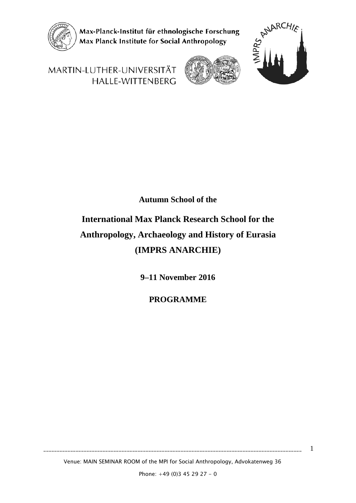

Max-Planck-Institut für ethnologische Forschung Max Planck Institute for Social Anthropology



1

MARTIN-LUTHER-UNIVERSITÄT HALLE-WITTENBERG



# **Autumn School of the**

# **International Max Planck Research School for the Anthropology, Archaeology and History of Eurasia (IMPRS ANARCHIE)**

**9–11 November 2016**

**PROGRAMME**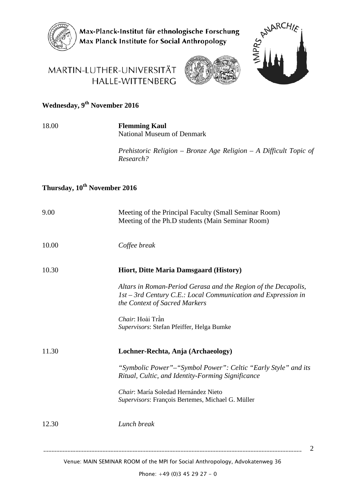

Max-Planck-Institut für ethnologische Forschung Max Planck Institute for Social Anthropology

# MARTIN-LUTHER-UNIVERSITÄT HALLE-WITTENBERG





2

# **Wednesday, 9th November 2016**

#### 18.00 **Flemming Kaul** National Museum of Denmark

*Prehistoric Religion – Bronze Age Religion – A Difficult Topic of Research?*

### **Thursday, 10th November 2016**

| 9.00  | Meeting of the Principal Faculty (Small Seminar Room)<br>Meeting of the Ph.D students (Main Seminar Room)                                                          |
|-------|--------------------------------------------------------------------------------------------------------------------------------------------------------------------|
| 10.00 | Coffee break                                                                                                                                                       |
| 10.30 | Hiort, Ditte Maria Damsgaard (History)                                                                                                                             |
|       | Altars in Roman-Period Gerasa and the Region of the Decapolis,<br>$1st - 3rd$ Century C.E.: Local Communication and Expression in<br>the Context of Sacred Markers |
|       | Chair: Hoài Trần<br>Supervisors: Stefan Pfeiffer, Helga Bumke                                                                                                      |
| 11.30 | Lochner-Rechta, Anja (Archaeology)                                                                                                                                 |
|       | "Symbolic Power"-"Symbol Power": Celtic "Early Style" and its<br>Ritual, Cultic, and Identity-Forming Significance                                                 |
|       | Chair: María Soledad Hernández Nieto<br>Supervisors: François Bertemes, Michael G. Müller                                                                          |
| 12.30 | Lunch break                                                                                                                                                        |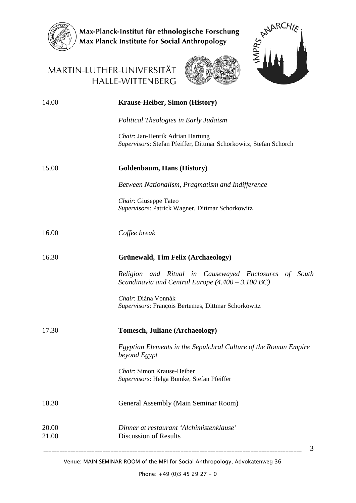

Max-Planck-Institut für ethnologische Forschung<br>Max Planck Institute for Social Anthropology



3

## MARTIN-LUTHER-UNIVERSITÄT HALLE-WITTENBERG



| 14.00          | <b>Krause-Heiber, Simon (History)</b>                                                                                |
|----------------|----------------------------------------------------------------------------------------------------------------------|
|                | Political Theologies in Early Judaism                                                                                |
|                | Chair: Jan-Henrik Adrian Hartung<br>Supervisors: Stefan Pfeiffer, Dittmar Schorkowitz, Stefan Schorch                |
| 15.00          | Goldenbaum, Hans (History)                                                                                           |
|                | Between Nationalism, Pragmatism and Indifference                                                                     |
|                | Chair: Giuseppe Tateo<br>Supervisors: Patrick Wagner, Dittmar Schorkowitz                                            |
| 16.00          | Coffee break                                                                                                         |
| 16.30          | <b>Grünewald, Tim Felix (Archaeology)</b>                                                                            |
|                | Religion and Ritual in Causewayed Enclosures of South<br>Scandinavia and Central Europe $(4.400 - 3.100 \text{ BC})$ |
|                | Chair: Diána Vonnák<br>Supervisors: François Bertemes, Dittmar Schorkowitz                                           |
| 17.30          | <b>Tomesch, Juliane (Archaeology)</b>                                                                                |
|                | Egyptian Elements in the Sepulchral Culture of the Roman Empire<br>beyond Egypt                                      |
|                | Chair: Simon Krause-Heiber<br>Supervisors: Helga Bumke, Stefan Pfeiffer                                              |
| 18.30          | General Assembly (Main Seminar Room)                                                                                 |
| 20.00<br>21.00 | Dinner at restaurant 'Alchimistenklause'<br>Discussion of Results                                                    |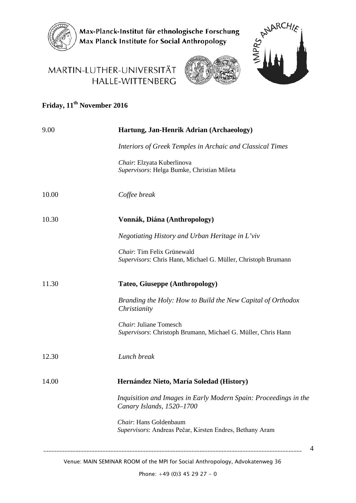

Max-Planck-Institut für ethnologische Forschung<br>Max Planck Institute for Social Anthropology

# MARTIN-LUTHER-UNIVERSITÄT HALLE-WITTENBERG





4

# **Friday, 11th November 2016**

| 9.00  | Hartung, Jan-Henrik Adrian (Archaeology)                                                      |
|-------|-----------------------------------------------------------------------------------------------|
|       | Interiors of Greek Temples in Archaic and Classical Times                                     |
|       | Chair: Elzyata Kuberlinova<br>Supervisors: Helga Bumke, Christian Mileta                      |
| 10.00 | Coffee break                                                                                  |
| 10.30 | Vonnák, Diána (Anthropology)                                                                  |
|       | Negotiating History and Urban Heritage in L'viv                                               |
|       | Chair: Tim Felix Grünewald<br>Supervisors: Chris Hann, Michael G. Müller, Christoph Brumann   |
| 11.30 | <b>Tateo, Giuseppe (Anthropology)</b>                                                         |
|       | Branding the Holy: How to Build the New Capital of Orthodox<br>Christianity                   |
|       | Chair: Juliane Tomesch<br>Supervisors: Christoph Brumann, Michael G. Müller, Chris Hann       |
| 12.30 | Lunch break                                                                                   |
| 14.00 | Hernández Nieto, María Soledad (History)                                                      |
|       | Inquisition and Images in Early Modern Spain: Proceedings in the<br>Canary Islands, 1520-1700 |
|       | Chair: Hans Goldenbaum<br>Supervisors: Andreas Pečar, Kirsten Endres, Bethany Aram            |
|       |                                                                                               |